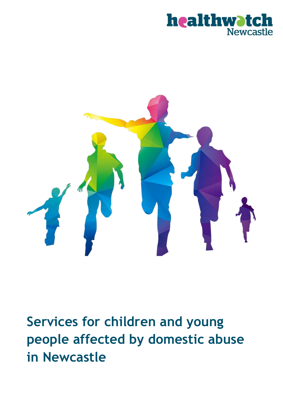



**Services for children and young people affected by domestic abuse in Newcastle**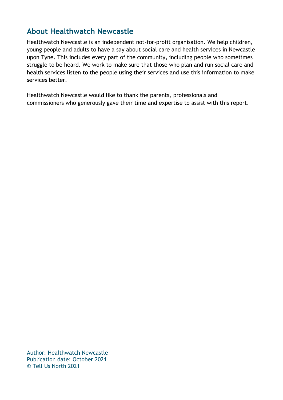### **About Healthwatch Newcastle**

Healthwatch Newcastle is an independent not-for-profit organisation. We help children, young people and adults to have a say about social care and health services in Newcastle upon Tyne. This includes every part of the community, including people who sometimes struggle to be heard. We work to make sure that those who plan and run social care and health services listen to the people using their services and use this information to make services better.

Healthwatch Newcastle would like to thank the parents, professionals and commissioners who generously gave their time and expertise to assist with this report.

Author: Healthwatch Newcastle Publication date: October 2021 © Tell Us North 2021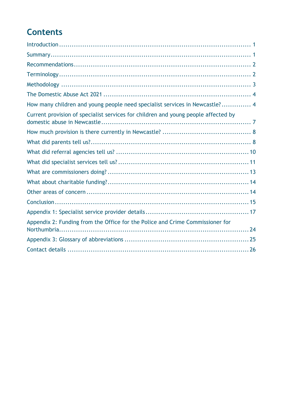# **Contents**

| How many children and young people need specialist services in Newcastle? 4        |  |
|------------------------------------------------------------------------------------|--|
| Current provision of specialist services for children and young people affected by |  |
|                                                                                    |  |
|                                                                                    |  |
|                                                                                    |  |
|                                                                                    |  |
|                                                                                    |  |
|                                                                                    |  |
|                                                                                    |  |
|                                                                                    |  |
|                                                                                    |  |
| Appendix 2: Funding from the Office for the Police and Crime Commissioner for      |  |
|                                                                                    |  |
|                                                                                    |  |
|                                                                                    |  |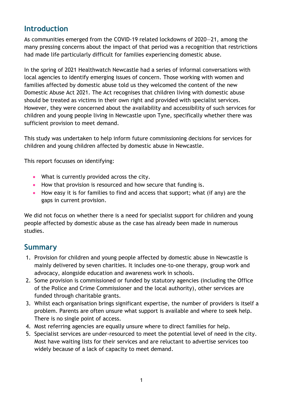#### **Introduction**

As communities emerged from the COVID-19 related lockdowns of 2020—21, among the many pressing concerns about the impact of that period was a recognition that restrictions had made life particularly difficult for families experiencing domestic abuse.

In the spring of 2021 Healthwatch Newcastle had a series of informal conversations with local agencies to identify emerging issues of concern. Those working with women and families affected by domestic abuse told us they welcomed the content of the new Domestic Abuse Act 2021. The Act recognises that children living with domestic abuse should be treated as victims in their own right and provided with specialist services. However, they were concerned about the availability and accessibility of such services for children and young people living in Newcastle upon Tyne, specifically whether there was sufficient provision to meet demand.

This study was undertaken to help inform future commissioning decisions for services for children and young children affected by domestic abuse in Newcastle.

This report focusses on identifying:

- What is currently provided across the city.
- How that provision is resourced and how secure that funding is.
- How easy it is for families to find and access that support; what (if any) are the gaps in current provision.

We did not focus on whether there is a need for specialist support for children and young people affected by domestic abuse as the case has already been made in numerous studies.

#### **Summary**

- 1. Provision for children and young people affected by domestic abuse in Newcastle is mainly delivered by seven charities. It includes one-to-one therapy, group work and advocacy, alongside education and awareness work in schools.
- 2. Some provision is commissioned or funded by statutory agencies (including the Office of the Police and Crime Commissioner and the local authority), other services are funded through charitable grants.
- 3. Whilst each organisation brings significant expertise, the number of providers is itself a problem. Parents are often unsure what support is available and where to seek help. There is no single point of access.
- 4. Most referring agencies are equally unsure where to direct families for help.
- 5. Specialist services are under-resourced to meet the potential level of need in the city. Most have waiting lists for their services and are reluctant to advertise services too widely because of a lack of capacity to meet demand.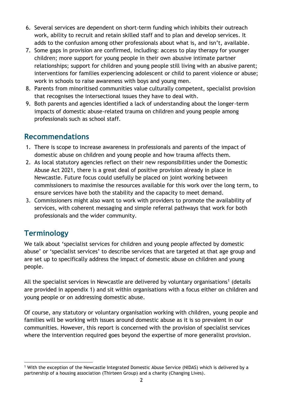- 6. Several services are dependent on short-term funding which inhibits their outreach work, ability to recruit and retain skilled staff and to plan and develop services. It adds to the confusion among other professionals about what is, and isn't, available.
- 7. Some gaps in provision are confirmed, including: access to play therapy for younger children; more support for young people in their own abusive intimate partner relationships; support for children and young people still living with an abusive parent; interventions for families experiencing adolescent or child to parent violence or abuse; work in schools to raise awareness with boys and young men.
- 8. Parents from minoritised communities value culturally competent, specialist provision that recognises the intersectional issues they have to deal with.
- 9. Both parents and agencies identified a lack of understanding about the longer-term impacts of domestic abuse-related trauma on children and young people among professionals such as school staff.

### **Recommendations**

- 1. There is scope to increase awareness in professionals and parents of the impact of domestic abuse on children and young people and how trauma affects them.
- 2. As local statutory agencies reflect on their new responsibilities under the Domestic Abuse Act 2021, there is a great deal of positive provision already in place in Newcastle. Future focus could usefully be placed on joint working between commissioners to maximise the resources available for this work over the long term, to ensure services have both the stability and the capacity to meet demand.
- 3. Commissioners might also want to work with providers to promote the availability of services, with coherent messaging and simple referral pathways that work for both professionals and the wider community.

# **Terminology**

We talk about 'specialist services for children and young people affected by domestic abuse' or 'specialist services' to describe services that are targeted at that age group and are set up to specifically address the impact of domestic abuse on children and young people.

All the specialist services in Newcastle are delivered by voluntary organisations<sup>1</sup> (details are provided in appendix 1) and sit within organisations with a focus either on children and young people or on addressing domestic abuse.

Of course, any statutory or voluntary organisation working with children, young people and families will be working with issues around domestic abuse as it is so prevalent in our communities. However, this report is concerned with the provision of specialist services where the intervention required goes beyond the expertise of more generalist provision.

<sup>1</sup> With the exception of the Newcastle Integrated Domestic Abuse Service (NIDAS) which is delivered by a partnership of a housing association (Thirteen Group) and a charity (Changing Lives).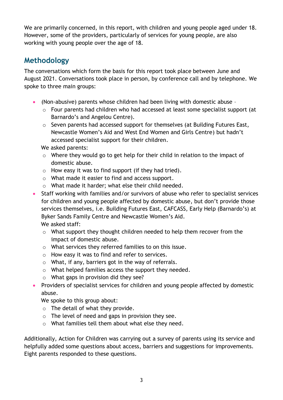We are primarily concerned, in this report, with children and young people aged under 18. However, some of the providers, particularly of services for young people, are also working with young people over the age of 18.

### **Methodology**

The conversations which form the basis for this report took place between June and August 2021. Conversations took place in person, by conference call and by telephone. We spoke to three main groups:

- (Non-abusive) parents whose children had been living with domestic abuse
	- o Four parents had children who had accessed at least some specialist support (at Barnardo's and Angelou Centre).
	- o Seven parents had accessed support for themselves (at Building Futures East, Newcastle Women's Aid and West End Women and Girls Centre) but hadn't accessed specialist support for their children.

We asked parents:

- o Where they would go to get help for their child in relation to the impact of domestic abuse.
- o How easy it was to find support (if they had tried).
- o What made it easier to find and access support.
- o What made it harder; what else their child needed.
- Staff working with families and/or survivors of abuse who refer to specialist services for children and young people affected by domestic abuse, but don't provide those services themselves, i.e. Building Futures East, CAFCASS, Early Help (Barnardo's) at Byker Sands Family Centre and Newcastle Women's Aid. We asked staff:
	- o What support they thought children needed to help them recover from the impact of domestic abuse.
	- o What services they referred families to on this issue.
	- o How easy it was to find and refer to services.
	- o What, if any, barriers got in the way of referrals.
	- o What helped families access the support they needed.
	- o What gaps in provision did they see?
- Providers of specialist services for children and young people affected by domestic abuse.

We spoke to this group about:

- $\circ$  The detail of what they provide.
- o The level of need and gaps in provision they see.
- o What families tell them about what else they need.

Additionally, Action for Children was carrying out a survey of parents using its service and helpfully added some questions about access, barriers and suggestions for improvements. Eight parents responded to these questions.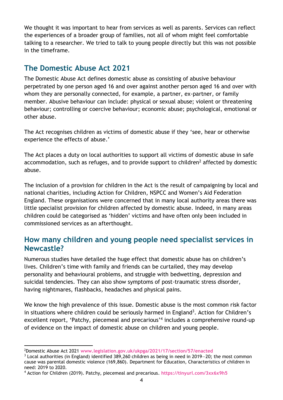We thought it was important to hear from services as well as parents. Services can reflect the experiences of a broader group of families, not all of whom might feel comfortable talking to a researcher. We tried to talk to young people directly but this was not possible in the timeframe.

#### **The Domestic Abuse Act 2021**

The Domestic Abuse Act defines domestic abuse as consisting of abusive behaviour perpetrated by one person aged 16 and over against another person aged 16 and over with whom they are personally connected, for example, a partner, ex-partner, or family member. Abusive behaviour can include: physical or sexual abuse; violent or threatening behaviour; controlling or coercive behaviour; economic abuse; psychological, emotional or other abuse.

The Act recognises children as victims of domestic abuse if they 'see, hear or otherwise experience the effects of abuse.'

The Act places a duty on local authorities to support all victims of domestic abuse in safe accommodation, such as refuges, and to provide support to children<sup>2</sup> affected by domestic abuse.

The inclusion of a provision for children in the Act is the result of campaigning by local and national charities, including Action for Children, NSPCC and Women's Aid Federation England. These organisations were concerned that in many local authority areas there was little specialist provision for children affected by domestic abuse. Indeed, in many areas children could be categorised as 'hidden' victims and have often only been included in commissioned services as an afterthought.

#### **How many children and young people need specialist services in Newcastle?**

Numerous studies have detailed the huge effect that domestic abuse has on children's lives. Children's time with family and friends can be curtailed, they may develop personality and behavioural problems, and struggle with bedwetting, depression and suicidal tendencies. They can also show symptoms of post-traumatic stress disorder, having nightmares, flashbacks, headaches and physical pains.

We know the high prevalence of this issue. Domestic abuse is the most common risk factor in situations where children could be seriously harmed in England<sup>3</sup>. Action for Children's excellent report, 'Patchy, piecemeal and precarious' 4 includes a comprehensive round-up of evidence on the impact of domestic abuse on children and young people.

<sup>2</sup>Domestic Abuse Act 2021 **www.legislation.gov.uk/ukpga/2021/17/section/57/enacted**

<sup>3</sup> Local authorities (in England) identified 389,260 children as being in need in 2019—20; the most common cause was parental domestic violence (169,860). Department for Education, Characteristics of children in need: 2019 to 2020.

<sup>4</sup> Action for Children (2019). Patchy, piecemeal and precarious. **https://tinyurl.com/3xx6x9h5**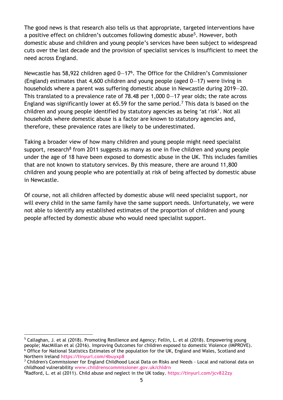The good news is that research also tells us that appropriate, targeted interventions have a positive effect on children's outcomes following domestic abuse<sup>5</sup>. However, both domestic abuse and children and young people's services have been subject to widespread cuts over the last decade and the provision of specialist services is insufficient to meet the need across England.

Newcastle has 58,922 children aged 0-17<sup>6</sup>. The Office for the Children's Commissioner (England) estimates that 4,600 children and young people (aged 0—17) were living in households where a parent was suffering domestic abuse in Newcastle during 2019—20. This translated to a prevalence rate of 78.48 per 1,000 0—17 year olds; the rate across England was significantly lower at 65.59 for the same period.<sup>7</sup> This data is based on the children and young people identified by statutory agencies as being 'at risk'. Not all households where domestic abuse is a factor are known to statutory agencies and, therefore, these prevalence rates are likely to be underestimated.

Taking a broader view of how many children and young people might need specialist support, research<sup>8</sup> from 2011 suggests as many as one in five children and young people under the age of 18 have been exposed to domestic abuse in the UK. This includes families that are not known to statutory services. By this measure, there are around 11,800 children and young people who are potentially at risk of being affected by domestic abuse in Newcastle.

Of course, not all children affected by domestic abuse will need specialist support, nor will every child in the same family have the same support needs. Unfortunately, we were not able to identify any established estimates of the proportion of children and young people affected by domestic abuse who would need specialist support.

<sup>5</sup> Callaghan, J. et al (2018). Promoting Resilience and Agency; Fellin, L. et al (2018). Empowering young people; MacMillan et al (2016). Improving Outcomes for children exposed to domestic Violence (IMPROVE). <sup>6</sup> Office for National Statistics Estimates of the population for the UK, England and Wales, Scotland and Northern Ireland **https://tinyurl.com/4buyxp8**

<sup>7</sup> Children's Commissioner for England Childhood Local Data on Risks and Needs - Local and national data on childhood vulnerability **www.childrenscommissioner.gov.uk/chldrn**

<sup>8</sup>Radford, L. et al (2011). Child abuse and neglect in the UK today. **https://tinyurl.com/jcv822zy**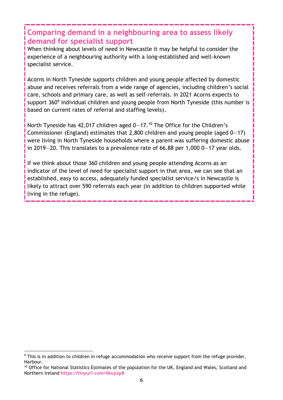### **Comparing demand in a neighbouring area to assess likely demand for specialist support**

When thinking about levels of need in Newcastle it may be helpful to consider the experience of a neighbouring authority with a long-established and well-known specialist service.

**Acorns in North Tyneside supports children and young people affected by domestic** abuse and receives referrals from a wide range of agencies, including children's social care, schools and primary care, as well as self-referrals. In 2021 Acorns expects to support 360<sup>9</sup> individual children and young people from North Tyneside (this number is based on current rates of referral and staffing levels).

North Tyneside has 42,017 children aged 0-17.<sup>10</sup> The Office for the Children's Commissioner (England) estimates that 2,800 children and young people (aged  $0-17$ ) were living in North Tyneside households where a parent was suffering domestic abuse in 2019—20. This translates to a prevalence rate of 66.88 per 1,000 0—17 year olds.

If we think about those 360 children and young people attending Acorns as an indicator of the level of need for specialist support in that area, we can see that an established, easy to access, adequately funded specialist service/s in Newcastle is likely to attract over 590 referrals each year (in addition to children supported while living in the refuge).

<sup>9</sup> This is in addition to children in refuge accommodation who receive support from the refuge provider, Harbour.

<sup>&</sup>lt;sup>10</sup> Office for National Statistics Estimates of the population for the UK, England and Wales, Scotland and Northern Ireland **https://tinyurl.com/4buyxp8**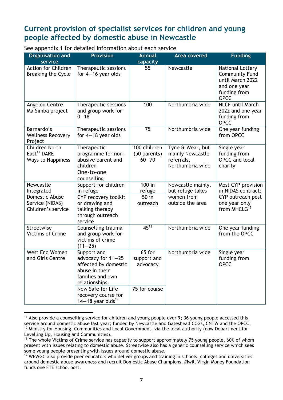#### **Current provision of specialist services for children and young people affected by domestic abuse in Newcastle**

See appendix 1 for detailed information about each service

| <b>Organisation and</b><br>service                                                 | <b>Provision</b>                                                                                                                                                                                  | <b>Annual</b><br>capacity                          | <b>Area covered</b>                                                     | <b>Funding</b>                                                                                               |
|------------------------------------------------------------------------------------|---------------------------------------------------------------------------------------------------------------------------------------------------------------------------------------------------|----------------------------------------------------|-------------------------------------------------------------------------|--------------------------------------------------------------------------------------------------------------|
| Action for Children<br><b>Breaking the Cycle</b>                                   | Therapeutic sessions<br>for $4-16$ year olds                                                                                                                                                      | 55                                                 | Newcastle                                                               | National Lottery<br><b>Community Fund</b><br>until March 2022<br>and one year<br>funding from<br><b>OPCC</b> |
| Angelou Centre<br>Ma Simba project                                                 | Therapeutic sessions<br>and group work for<br>$0 - 18$                                                                                                                                            | 100                                                | Northumbria wide                                                        | <b>NLCF</b> until March<br>2022 and one year<br>funding from<br><b>OPCC</b>                                  |
| Barnardo's<br><b>Wellness Recovery</b><br>Project                                  | Therapeutic sessions<br>for $4-18$ year olds                                                                                                                                                      | 75                                                 | Northumbria wide                                                        | One year funding<br>from OPCC                                                                                |
| <b>Children North</b><br>East <sup>11</sup> DARE<br>Ways to Happiness              | Therapeutic<br>programme for non-<br>abusive parent and<br>children<br>One-to-one<br>counselling                                                                                                  | 100 children<br>(50 parents)<br>$60 - 70$          | Tyne & Wear, but<br>mainly Newcastle<br>referrals,<br>Northumbria wide  | Single year<br>funding from<br><b>OPCC</b> and local<br>charity                                              |
| Newcastle<br>Integrated<br>Domestic Abuse<br>Service (NIDAS)<br>Children's service | Support for children<br>in refuge<br>CYP recovery toolkit<br>or drawing and<br>talking therapy<br>through outreach<br>service                                                                     | 100 in<br>refuge<br>50 in<br>outreach              | Newcastle mainly,<br>but refuge takes<br>women from<br>outside the area | Most CYP provision<br>in NIDAS contract;<br>CYP outreach post<br>one year only<br>from MHCLG <sup>12</sup>   |
| Streetwise<br><b>Victims of Crime</b>                                              | Counselling trauma<br>and group work for<br>victims of crime<br>$(11 - 25)$                                                                                                                       | $45^{13}$                                          | Northumbria wide                                                        | One year funding<br>from the OPCC                                                                            |
| West End Women<br>and Girls Centre                                                 | Support and<br>advocacy for 11-25<br>affected by domestic<br>abuse in their<br>families and own<br>relationships.<br>New Safe for Life<br>recovery course for<br>14 $-18$ year olds <sup>14</sup> | 65 for<br>support and<br>advocacy<br>75 for course | Northumbria wide                                                        | Single year<br>funding from<br>OPCC                                                                          |

<sup>&</sup>lt;sup>11</sup> Also provide a counselling service for children and young people over 9; 36 young people accessed this service around domestic abuse last year; funded by Newcastle and Gateshead CCGs, CNTW and the OPCC. <sup>12</sup> Ministry for Housing, Communities and Local Government, via the local authority (now Department for

Levelling Up, Housing and Communities).

<sup>&</sup>lt;sup>13</sup> The whole Victims of Crime service has capacity to support approximately 75 young people, 60% of whom present with issues relating to domestic abuse. Streetwise also has a generic counselling service which sees some young people presenting with issues around domestic abuse.

<sup>14</sup> WEWGC also provide peer educators who deliver groups and training in schools, colleges and universities around domestic abuse awareness and recruit Domestic Abuse Champions. #Iwill Virgin Money Foundation funds one FTE school post.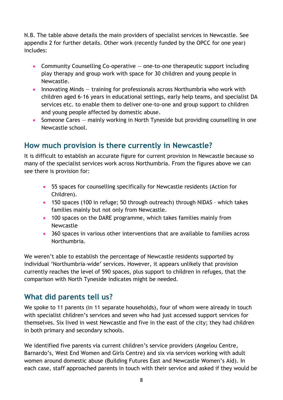N.B. The table above details the main providers of specialist services in Newcastle. See appendix 2 for further details. Other work (recently funded by the OPCC for one year) includes:

- Community Counselling Co-operative  $-$  one-to-one therapeutic support including play therapy and group work with space for 30 children and young people in Newcastle.
- Innovating Minds training for professionals across Northumbria who work with children aged 6-16 years in educational settings, early help teams, and specialist DA services etc. to enable them to deliver one-to-one and group support to children and young people affected by domestic abuse.
- Someone Cares mainly working in North Tyneside but providing counselling in one Newcastle school.

### **How much provision is there currently in Newcastle?**

It is difficult to establish an accurate figure for current provision in Newcastle because so many of the specialist services work across Northumbria. From the figures above we can see there is provision for:

- 55 spaces for counselling specifically for Newcastle residents (Action for Children).
- 150 spaces (100 in refuge; 50 through outreach) through NIDAS which takes families mainly but not only from Newcastle.
- 100 spaces on the DARE programme, which takes families mainly from Newcastle
- 360 spaces in various other interventions that are available to families across Northumbria.

We weren't able to establish the percentage of Newcastle residents supported by individual 'Northumbria-wide' services. However, it appears unlikely that provision currently reaches the level of 590 spaces, plus support to children in refuges, that the comparison with North Tyneside indicates might be needed.

## **What did parents tell us?**

We spoke to 11 parents (in 11 separate households), four of whom were already in touch with specialist children's services and seven who had just accessed support services for themselves. Six lived in west Newcastle and five in the east of the city; they had children in both primary and secondary schools.

We identified five parents via current children's service providers (Angelou Centre, Barnardo's, West End Women and Girls Centre) and six via services working with adult women around domestic abuse (Building Futures East and Newcastle Women's Aid). In each case, staff approached parents in touch with their service and asked if they would be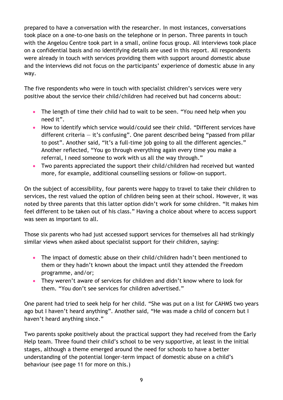prepared to have a conversation with the researcher. In most instances, conversations took place on a one-to-one basis on the telephone or in person. Three parents in touch with the Angelou Centre took part in a small, online focus group. All interviews took place on a confidential basis and no identifying details are used in this report. All respondents were already in touch with services providing them with support around domestic abuse and the interviews did not focus on the participants' experience of domestic abuse in any way.

The five respondents who were in touch with specialist children's services were very positive about the service their child/children had received but had concerns about:

- The length of time their child had to wait to be seen. "You need help when you need it".
- How to identify which service would/could see their child. "Different services have different criteria  $-$  it's confusing". One parent described being "passed from pillar to post". Another said, "It's a full-time job going to all the different agencies." Another reflected, "You go through everything again every time you make a referral, I need someone to work with us all the way through."
- Two parents appreciated the support their child/children had received but wanted more, for example, additional counselling sessions or follow-on support.

On the subject of accessibility, four parents were happy to travel to take their children to services, the rest valued the option of children being seen at their school. However, it was noted by three parents that this latter option didn't work for some children. "It makes him feel different to be taken out of his class." Having a choice about where to access support was seen as important to all.

Those six parents who had just accessed support services for themselves all had strikingly similar views when asked about specialist support for their children, saying:

- The impact of domestic abuse on their child/children hadn't been mentioned to them or they hadn't known about the impact until they attended the Freedom programme, and/or;
- They weren't aware of services for children and didn't know where to look for them. "You don't see services for children advertised."

One parent had tried to seek help for her child. "She was put on a list for CAHMS two years ago but I haven't heard anything". Another said, "He was made a child of concern but I haven't heard anything since."

Two parents spoke positively about the practical support they had received from the Early Help team. Three found their child's school to be very supportive, at least in the initial stages, although a theme emerged around the need for schools to have a better understanding of the potential longer-term impact of domestic abuse on a child's behaviour (see page 11 for more on this.)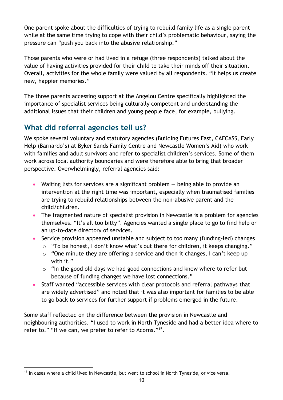One parent spoke about the difficulties of trying to rebuild family life as a single parent while at the same time trying to cope with their child's problematic behaviour, saying the pressure can "push you back into the abusive relationship."

Those parents who were or had lived in a refuge (three respondents) talked about the value of having activities provided for their child to take their minds off their situation. Overall, activities for the whole family were valued by all respondents. "It helps us create new, happier memories."

The three parents accessing support at the Angelou Centre specifically highlighted the importance of specialist services being culturally competent and understanding the additional issues that their children and young people face, for example, bullying.

# **What did referral agencies tell us?**

We spoke several voluntary and statutory agencies (Building Futures East, CAFCASS, Early Help (Barnardo's) at Byker Sands Family Centre and Newcastle Women's Aid) who work with families and adult survivors and refer to specialist children's services. Some of them work across local authority boundaries and were therefore able to bring that broader perspective. Overwhelmingly, referral agencies said:

- Waiting lists for services are a significant problem  $-$  being able to provide an intervention at the right time was important, especially when traumatised families are trying to rebuild relationships between the non-abusive parent and the child/children.
- The fragmented nature of specialist provision in Newcastle is a problem for agencies themselves. "It's all too bitty". Agencies wanted a single place to go to find help or an up-to-date directory of services.
- Service provision appeared unstable and subject to too many (funding-led) changes
	- o "To be honest, I don't know what's out there for children, it keeps changing."
	- o "One minute they are offering a service and then it changes, I can't keep up with it."
	- o "In the good old days we had good connections and knew where to refer but because of funding changes we have lost connections."
- Staff wanted "accessible services with clear protocols and referral pathways that are widely advertised" and noted that it was also important for families to be able to go back to services for further support if problems emerged in the future.

Some staff reflected on the difference between the provision in Newcastle and neighbouring authorities. "I used to work in North Tyneside and had a better idea where to refer to." "If we can, we prefer to refer to Acorns."<sup>15</sup>.

<sup>&</sup>lt;sup>15</sup> In cases where a child lived in Newcastle, but went to school in North Tyneside, or vice versa.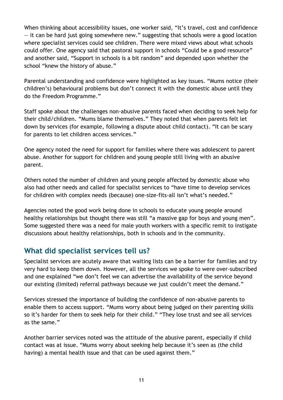When thinking about accessibility issues, one worker said, "It's travel, cost and confidence — it can be hard just going somewhere new." suggesting that schools were a good location where specialist services could see children. There were mixed views about what schools could offer. One agency said that pastoral support in schools "Could be a good resource" and another said, "Support in schools is a bit random" and depended upon whether the school "knew the history of abuse."

Parental understanding and confidence were highlighted as key issues. "Mums notice (their children's) behavioural problems but don't connect it with the domestic abuse until they do the Freedom Programme."

Staff spoke about the challenges non-abusive parents faced when deciding to seek help for their child/children. "Mums blame themselves." They noted that when parents felt let down by services (for example, following a dispute about child contact). "It can be scary for parents to let children access services."

One agency noted the need for support for families where there was adolescent to parent abuse. Another for support for children and young people still living with an abusive parent.

Others noted the number of children and young people affected by domestic abuse who also had other needs and called for specialist services to "have time to develop services for children with complex needs (because) one-size-fits-all isn't what's needed."

Agencies noted the good work being done in schools to educate young people around healthy relationships but thought there was still "a massive gap for boys and young men". Some suggested there was a need for male youth workers with a specific remit to instigate discussions about healthy relationships, both in schools and in the community.

#### **What did specialist services tell us?**

Specialist services are acutely aware that waiting lists can be a barrier for families and try very hard to keep them down. However, all the services we spoke to were over-subscribed and one explained "we don't feel we can advertise the availability of the service beyond our existing (limited) referral pathways because we just couldn't meet the demand."

Services stressed the importance of building the confidence of non-abusive parents to enable them to access support. "Mums worry about being judged on their parenting skills so it's harder for them to seek help for their child." "They lose trust and see all services as the same."

Another barrier services noted was the attitude of the abusive parent, especially if child contact was at issue. "Mums worry about seeking help because it's seen as (the child having) a mental health issue and that can be used against them."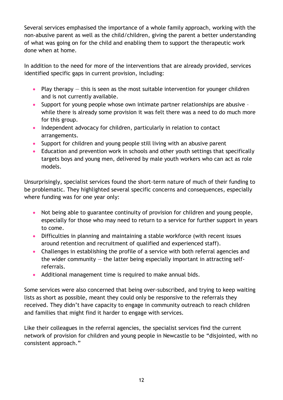Several services emphasised the importance of a whole family approach, working with the non-abusive parent as well as the child/children, giving the parent a better understanding of what was going on for the child and enabling them to support the therapeutic work done when at home.

In addition to the need for more of the interventions that are already provided, services identified specific gaps in current provision, including:

- Play therapy  $-$  this is seen as the most suitable intervention for younger children and is not currently available.
- Support for young people whose own intimate partner relationships are abusive while there is already some provision it was felt there was a need to do much more for this group.
- Independent advocacy for children, particularly in relation to contact arrangements.
- Support for children and young people still living with an abusive parent
- Education and prevention work in schools and other youth settings that specifically targets boys and young men, delivered by male youth workers who can act as role models.

Unsurprisingly, specialist services found the short-term nature of much of their funding to be problematic. They highlighted several specific concerns and consequences, especially where funding was for one year only:

- Not being able to guarantee continuity of provision for children and young people, especially for those who may need to return to a service for further support in years to come.
- Difficulties in planning and maintaining a stable workforce (with recent issues around retention and recruitment of qualified and experienced staff).
- Challenges in establishing the profile of a service with both referral agencies and the wider community  $-$  the latter being especially important in attracting selfreferrals.
- Additional management time is required to make annual bids.

Some services were also concerned that being over-subscribed, and trying to keep waiting lists as short as possible, meant they could only be responsive to the referrals they received. They didn't have capacity to engage in community outreach to reach children and families that might find it harder to engage with services.

Like their colleagues in the referral agencies, the specialist services find the current network of provision for children and young people in Newcastle to be "disjointed, with no consistent approach."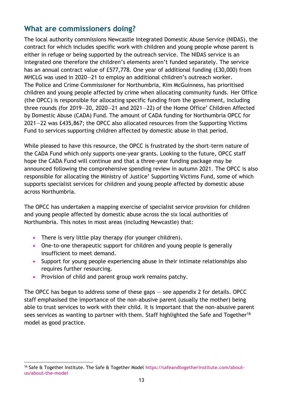#### **What are commissioners doing?**

The local authority commissions Newcastle Integrated Domestic Abuse Service (NIDAS), the contract for which includes specific work with children and young people whose parent is either in refuge or being supported by the outreach service. The NIDAS service is an integrated one therefore the children's elements aren't funded separately. The service has an annual contract value of £577,778. One year of additional funding (£30,000) from MHCLG was used in 2020—21 to employ an additional children's outreach worker. The Police and Crime Commissioner for Northumbria, Kim McGuinness, has prioritised children and young people affected by crime when allocating community funds. Her Office (the OPCC) is responsible for allocating specific funding from the government, including three rounds (for 2019—20, 2020—21 and 2021—22) of the Home Office' Children Affected by Domestic Abuse (CADA) Fund. The amount of CADA funding for Northumbria OPCC for 2021—22 was £435,867; the OPCC also allocated resources from the Supporting Victims Fund to services supporting children affected by domestic abuse in that period.

While pleased to have this resource, the OPCC is frustrated by the short-term nature of the CADA Fund which only supports one-year grants. Looking to the future, OPCC staff hope the CADA Fund will continue and that a three-year funding package may be announced following the comprehensive spending review in autumn 2021. The OPCC is also responsible for allocating the Ministry of Justice' Supporting Victims Fund, some of which supports specialist services for children and young people affected by domestic abuse across Northumbria.

The OPCC has undertaken a mapping exercise of specialist service provision for children and young people affected by domestic abuse across the six local authorities of Northumbria. This notes in most areas (including Newcastle) that:

- There is very little play therapy (for younger children).
- One-to-one therapeutic support for children and young people is generally insufficient to meet demand.
- Support for young people experiencing abuse in their intimate relationships also requires further resourcing.
- Provision of child and parent group work remains patchy.

The OPCC has begun to address some of these gaps — see appendix 2 for details. OPCC staff emphasised the importance of the non-abusive parent (usually the mother) being able to trust services to work with their child. It is important that the non-abusive parent sees services as wanting to partner with them. Staff highlighted the Safe and Together<sup>16</sup> model as good practice.

<sup>16</sup> Safe & Together Institute. The Safe & Together Model **https://safeandtogetherinstitute.com/aboutus/about-the-model**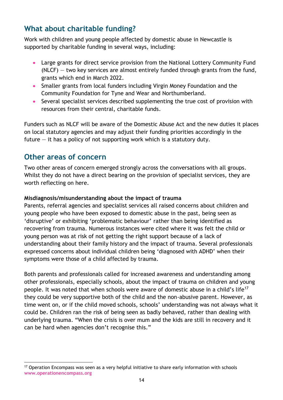## **What about charitable funding?**

Work with children and young people affected by domestic abuse in Newcastle is supported by charitable funding in several ways, including:

- Large grants for direct service provision from the National Lottery Community Fund  $(NLCF)$  – two key services are almost entirely funded through grants from the fund, grants which end in March 2022.
- Smaller grants from local funders including Virgin Money Foundation and the Community Foundation for Tyne and Wear and Northumberland.
- Several specialist services described supplementing the true cost of provision with resources from their central, charitable funds.

Funders such as NLCF will be aware of the Domestic Abuse Act and the new duties it places on local statutory agencies and may adjust their funding priorities accordingly in the future — it has a policy of not supporting work which is a statutory duty.

#### **Other areas of concern**

Two other areas of concern emerged strongly across the conversations with all groups. Whilst they do not have a direct bearing on the provision of specialist services, they are worth reflecting on here.

#### **Misdiagnosis/misunderstanding about the impact of trauma**

Parents, referral agencies and specialist services all raised concerns about children and young people who have been exposed to domestic abuse in the past, being seen as 'disruptive' or exhibiting 'problematic behaviour' rather than being identified as recovering from trauma. Numerous instances were cited where it was felt the child or young person was at risk of not getting the right support because of a lack of understanding about their family history and the impact of trauma. Several professionals expressed concerns about individual children being 'diagnosed with ADHD' when their symptoms were those of a child affected by trauma.

Both parents and professionals called for increased awareness and understanding among other professionals, especially schools, about the impact of trauma on children and young people. It was noted that when schools were aware of domestic abuse in a child's life<sup>17</sup> they could be very supportive both of the child and the non-abusive parent. However, as time went on, or if the child moved schools, schools' understanding was not always what it could be. Children ran the risk of being seen as badly behaved, rather than dealing with underlying trauma. "When the crisis is over mum and the kids are still in recovery and it can be hard when agencies don't recognise this."

 $17$  Operation Encompass was seen as a very helpful initiative to share early information with schools **www.operationencompass.org**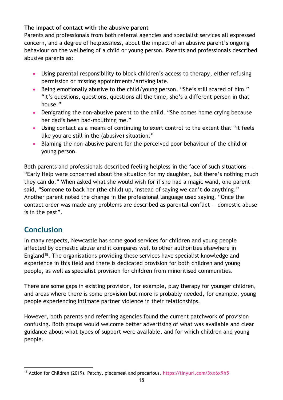#### **The impact of contact with the abusive parent**

Parents and professionals from both referral agencies and specialist services all expressed concern, and a degree of helplessness, about the impact of an abusive parent's ongoing behaviour on the wellbeing of a child or young person. Parents and professionals described abusive parents as:

- Using parental responsibility to block children's access to therapy, either refusing permission or missing appointments/arriving late.
- Being emotionally abusive to the child/young person. "She's still scared of him." "It's questions, questions, questions all the time, she's a different person in that house."
- Denigrating the non-abusive parent to the child. "She comes home crying because her dad's been bad-mouthing me."
- Using contact as a means of continuing to exert control to the extent that "it feels like you are still in the (abusive) situation."
- Blaming the non-abusive parent for the perceived poor behaviour of the child or young person.

Both parents and professionals described feeling helpless in the face of such situations  $-$ "Early Help were concerned about the situation for my daughter, but there's nothing much they can do." When asked what she would wish for if she had a magic wand, one parent said, "Someone to back her (the child) up, instead of saying we can't do anything." Another parent noted the change in the professional language used saying, "Once the contact order was made any problems are described as parental conflict  $-$  domestic abuse is in the past".

## **Conclusion**

In many respects, Newcastle has some good services for children and young people affected by domestic abuse and it compares well to other authorities elsewhere in England<sup>18</sup>. The organisations providing these services have specialist knowledge and experience in this field and there is dedicated provision for both children and young people, as well as specialist provision for children from minoritised communities.

There are some gaps in existing provision, for example, play therapy for younger children, and areas where there is some provision but more is probably needed, for example, young people experiencing intimate partner violence in their relationships.

However, both parents and referring agencies found the current patchwork of provision confusing. Both groups would welcome better advertising of what was available and clear guidance about what types of support were available, and for which children and young people.

<sup>18</sup> Action for Children (2019). Patchy, piecemeal and precarious. **https://tinyurl.com/3xx6x9h5**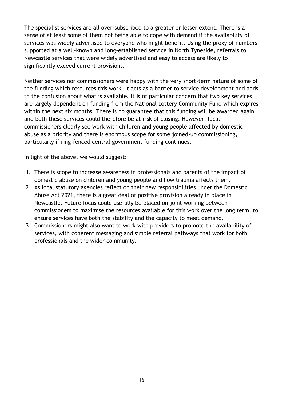The specialist services are all over-subscribed to a greater or lesser extent. There is a sense of at least some of them not being able to cope with demand if the availability of services was widely advertised to everyone who might benefit. Using the proxy of numbers supported at a well-known and long-established service in North Tyneside, referrals to Newcastle services that were widely advertised and easy to access are likely to significantly exceed current provisions.

Neither services nor commissioners were happy with the very short-term nature of some of the funding which resources this work. It acts as a barrier to service development and adds to the confusion about what is available. It is of particular concern that two key services are largely dependent on funding from the National Lottery Community Fund which expires within the next six months. There is no guarantee that this funding will be awarded again and both these services could therefore be at risk of closing. However, local commissioners clearly see work with children and young people affected by domestic abuse as a priority and there is enormous scope for some joined-up commissioning, particularly if ring-fenced central government funding continues.

In light of the above, we would suggest:

- 1. There is scope to increase awareness in professionals and parents of the impact of domestic abuse on children and young people and how trauma affects them.
- 2. As local statutory agencies reflect on their new responsibilities under the Domestic Abuse Act 2021, there is a great deal of positive provision already in place in Newcastle. Future focus could usefully be placed on joint working between commissioners to maximise the resources available for this work over the long term, to ensure services have both the stability and the capacity to meet demand.
- 3. Commissioners might also want to work with providers to promote the availability of services, with coherent messaging and simple referral pathways that work for both professionals and the wider community.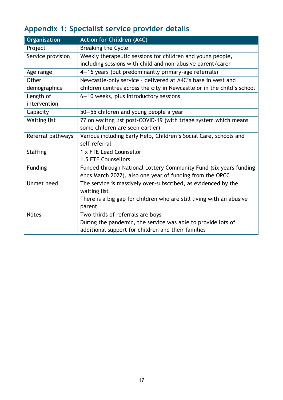# **Appendix 1: Specialist service provider details**

| <b>Organisation</b> | <b>Action for Children (A4C)</b>                                       |
|---------------------|------------------------------------------------------------------------|
| Project             | Breaking the Cycle                                                     |
| Service provision   | Weekly therapeutic sessions for children and young people,             |
|                     | including sessions with child and non-abusive parent/carer             |
| Age range           | 4-16 years (but predominantly primary-age referrals)                   |
| Other               | Newcastle-only service - delivered at A4C's base in west and           |
| demographics        | children centres across the city in Newcastle or in the child's school |
| Length of           | 6-10 weeks, plus introductory sessions                                 |
| intervention        |                                                                        |
| Capacity            | 50-55 children and young people a year                                 |
| <b>Waiting list</b> | 77 on waiting list post-COVID-19 (with triage system which means       |
|                     | some children are seen earlier)                                        |
| Referral pathways   | Various including Early Help, Children's Social Care, schools and      |
|                     | self-referral                                                          |
| <b>Staffing</b>     | 1 x FTE Lead Counsellor                                                |
|                     | 1.5 FTE Counsellors                                                    |
| Funding             | Funded through National Lottery Community Fund (six years funding      |
|                     | ends March 2022), also one year of funding from the OPCC               |
| Unmet need          | The service is massively over-subscribed, as evidenced by the          |
|                     | waiting list                                                           |
|                     | There is a big gap for children who are still living with an abusive   |
|                     | parent                                                                 |
| <b>Notes</b>        | Two-thirds of referrals are boys                                       |
|                     | During the pandemic, the service was able to provide lots of           |
|                     | additional support for children and their families                     |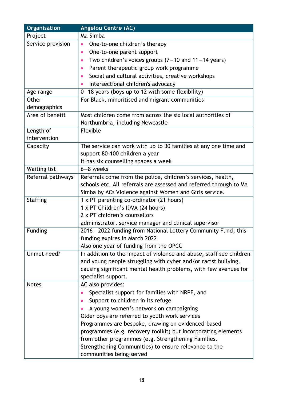| Organisation        | <b>Angelou Centre (AC)</b>                                          |
|---------------------|---------------------------------------------------------------------|
| Project             | Ma Simba                                                            |
| Service provision   | One-to-one children's therapy<br>$\bullet$                          |
|                     | One-to-one parent support<br>$\bullet$                              |
|                     | Two children's voices groups $(7-10$ and $11-14$ years)             |
|                     | Parent therapeutic group work programme                             |
|                     | Social and cultural activities, creative workshops<br>$\bullet$     |
|                     | Intersectional children's advocacy                                  |
| Age range           | $0-18$ years (boys up to 12 with some flexibility)                  |
| Other               | For Black, minoritised and migrant communities                      |
| demographics        |                                                                     |
| Area of benefit     | Most children come from across the six local authorities of         |
|                     | Northumbria, including Newcastle                                    |
| Length of           | Flexible                                                            |
| intervention        |                                                                     |
| Capacity            | The service can work with up to 30 families at any one time and     |
|                     | support 80-100 children a year                                      |
|                     | It has six counselling spaces a week                                |
| <b>Waiting list</b> | $6 - 8$ weeks                                                       |
| Referral pathways   | Referrals come from the police, children's services, health,        |
|                     | schools etc. All referrals are assessed and referred through to Ma  |
|                     | Simba by ACs Violence against Women and Girls service.              |
| <b>Staffing</b>     | 1 x PT parenting co-ordinator (21 hours)                            |
|                     | 1 x PT Children's IDVA (24 hours)                                   |
|                     | 2 x PT children's counsellors                                       |
|                     | administrator, service manager and clinical supervisor              |
| Funding             | 2016 - 2022 funding from National Lottery Community Fund; this      |
|                     | funding expires in March 2022                                       |
|                     | Also one year of funding from the OPCC                              |
| Unmet need?         | In addition to the impact of violence and abuse, staff see children |
|                     | and young people struggling with cyber and/or racist bullying,      |
|                     | causing significant mental health problems, with few avenues for    |
|                     | specialist support.                                                 |
| <b>Notes</b>        | AC also provides:                                                   |
|                     | Specialist support for families with NRPF, and                      |
|                     | Support to children in its refuge                                   |
|                     | A young women's network on campaigning                              |
|                     | Older boys are referred to youth work services                      |
|                     | Programmes are bespoke, drawing on evidenced-based                  |
|                     | programmes (e.g. recovery toolkit) but incorporating elements       |
|                     | from other programmes (e.g. Strengthening Families,                 |
|                     | Strengthening Communities) to ensure relevance to the               |
|                     | communities being served                                            |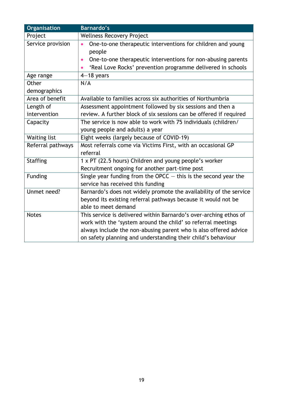| Organisation              | <b>Barnardo's</b>                                                                                                                                                                                                                                                     |
|---------------------------|-----------------------------------------------------------------------------------------------------------------------------------------------------------------------------------------------------------------------------------------------------------------------|
| Project                   | <b>Wellness Recovery Project</b>                                                                                                                                                                                                                                      |
| Service provision         | One-to-one therapeutic interventions for children and young<br>people<br>One-to-one therapeutic interventions for non-abusing parents<br>$\bullet$<br>'Real Love Rocks' prevention programme delivered in schools                                                     |
| Age range                 | $4-18$ years                                                                                                                                                                                                                                                          |
| Other<br>demographics     | N/A                                                                                                                                                                                                                                                                   |
| Area of benefit           | Available to families across six authorities of Northumbria                                                                                                                                                                                                           |
| Length of<br>intervention | Assessment appointment followed by six sessions and then a<br>review. A further block of six sessions can be offered if required                                                                                                                                      |
| Capacity                  | The service is now able to work with 75 individuals (children/<br>young people and adults) a year                                                                                                                                                                     |
| <b>Waiting list</b>       | Eight weeks (largely because of COVID-19)                                                                                                                                                                                                                             |
| Referral pathways         | Most referrals come via Victims First, with an occasional GP<br>referral                                                                                                                                                                                              |
| <b>Staffing</b>           | 1 x PT (22.5 hours) Children and young people's worker<br>Recruitment ongoing for another part-time post                                                                                                                                                              |
| Funding                   | Single year funding from the OPCC $-$ this is the second year the<br>service has received this funding                                                                                                                                                                |
| Unmet need?               | Barnardo's does not widely promote the availability of the service<br>beyond its existing referral pathways because it would not be<br>able to meet demand                                                                                                            |
| <b>Notes</b>              | This service is delivered within Barnardo's over-arching ethos of<br>work with the 'system around the child' so referral meetings<br>always include the non-abusing parent who is also offered advice<br>on safety planning and understanding their child's behaviour |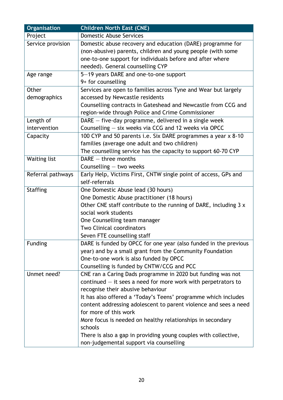| Organisation        | <b>Children North East (CNE)</b>                                 |
|---------------------|------------------------------------------------------------------|
| Project             | <b>Domestic Abuse Services</b>                                   |
| Service provision   | Domestic abuse recovery and education (DARE) programme for       |
|                     | (non-abusive) parents, children and young people (with some      |
|                     | one-to-one support for individuals before and after where        |
|                     | needed). General counselling CYP                                 |
| Age range           | 5-19 years DARE and one-to-one support                           |
|                     | 9+ for counselling                                               |
| Other               | Services are open to families across Tyne and Wear but largely   |
| demographics        | accessed by Newcastle residents                                  |
|                     | Counselling contracts in Gateshead and Newcastle from CCG and    |
|                     | region-wide through Police and Crime Commissioner                |
| Length of           | $DARE - five-day programme, delivered in a single week$          |
| intervention        | Counselling $-$ six weeks via CCG and 12 weeks via OPCC          |
| Capacity            | 100 CYP and 50 parents i.e. Six DARE programmes a year x 8-10    |
|                     | families (average one adult and two children)                    |
|                     | The counselling service has the capacity to support 60-70 CYP    |
| <b>Waiting list</b> | $DARE - three months$                                            |
|                     | Counselling $-$ two weeks                                        |
| Referral pathways   | Early Help, Victims First, CNTW single point of access, GPs and  |
|                     | self-referrals                                                   |
| <b>Staffing</b>     | One Domestic Abuse lead (30 hours)                               |
|                     | One Domestic Abuse practitioner (18 hours)                       |
|                     | Other CNE staff contribute to the running of DARE, including 3 x |
|                     | social work students                                             |
|                     | One Counselling team manager                                     |
|                     | <b>Two Clinical coordinators</b>                                 |
|                     | Seven FTE counselling staff                                      |
| Funding             | DARE is funded by OPCC for one year (also funded in the previous |
|                     | year) and by a small grant from the Community Foundation         |
|                     | One-to-one work is also funded by OPCC                           |
|                     | Counselling is funded by CNTW/CCG and PCC                        |
| Unmet need?         | CNE ran a Caring Dads programme in 2020 but funding was not      |
|                     | continued $-$ it sees a need for more work with perpetrators to  |
|                     | recognise their abusive behaviour                                |
|                     | It has also offered a 'Today's Teens' programme which includes   |
|                     | content addressing adolescent to parent violence and sees a need |
|                     | for more of this work                                            |
|                     | More focus is needed on healthy relationships in secondary       |
|                     | schools                                                          |
|                     | There is also a gap in providing young couples with collective,  |
|                     | non-judgemental support via counselling                          |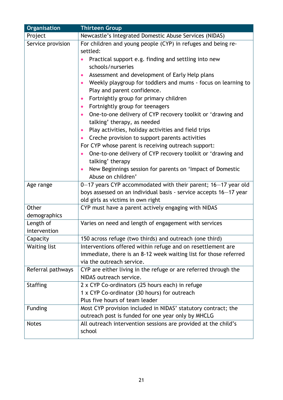| Organisation        | <b>Thirteen Group</b>                                                    |
|---------------------|--------------------------------------------------------------------------|
| Project             | Newcastle's Integrated Domestic Abuse Services (NIDAS)                   |
| Service provision   | For children and young people (CYP) in refuges and being re-             |
|                     | settled:                                                                 |
|                     | Practical support e.g. finding and settling into new                     |
|                     | schools/nurseries                                                        |
|                     | Assessment and development of Early Help plans                           |
|                     | Weekly playgroup for toddlers and mums - focus on learning to            |
|                     | Play and parent confidence.                                              |
|                     | Fortnightly group for primary children                                   |
|                     | Fortnightly group for teenagers<br>$\bullet$                             |
|                     | One-to-one delivery of CYP recovery toolkit or 'drawing and              |
|                     | talking' therapy, as needed                                              |
|                     | Play activities, holiday activities and field trips                      |
|                     | Creche provision to support parents activities                           |
|                     | For CYP whose parent is receiving outreach support:                      |
|                     | One-to-one delivery of CYP recovery toolkit or 'drawing and              |
|                     | talking' therapy                                                         |
|                     | New Beginnings session for parents on 'Impact of Domestic                |
|                     | Abuse on children'                                                       |
| Age range           | 0-17 years CYP accommodated with their parent; 16-17 year old            |
|                     | boys assessed on an individual basis - service accepts 16-17 year        |
|                     | old girls as victims in own right                                        |
| Other               | CYP must have a parent actively engaging with NIDAS                      |
| demographics        |                                                                          |
| Length of           | Varies on need and length of engagement with services                    |
| intervention        |                                                                          |
| Capacity            | 150 across refuge (two thirds) and outreach (one third)                  |
| <b>Waiting list</b> | Interventions offered within refuge and on resettlement are              |
|                     | immediate, there is an 8-12 week waiting list for those referred         |
|                     | via the outreach service.                                                |
| Referral pathways   | CYP are either living in the refuge or are referred through the          |
|                     | NIDAS outreach service.                                                  |
| <b>Staffing</b>     | 2 x CYP Co-ordinators (25 hours each) in refuge                          |
|                     | 1 x CYP Co-ordinator (30 hours) for outreach                             |
|                     | Plus five hours of team leader                                           |
| <b>Funding</b>      | Most CYP provision included in NIDAS' statutory contract; the            |
|                     | outreach post is funded for one year only by MHCLG                       |
| <b>Notes</b>        | All outreach intervention sessions are provided at the child's<br>school |
|                     |                                                                          |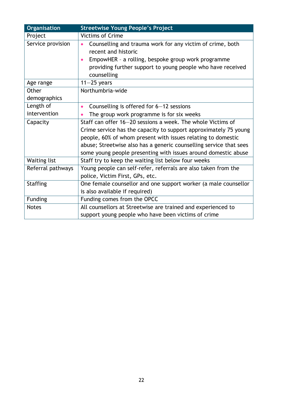| Organisation        | <b>Streetwise Young People's Project</b>                                         |
|---------------------|----------------------------------------------------------------------------------|
| Project             | <b>Victims of Crime</b>                                                          |
| Service provision   | Counselling and trauma work for any victim of crime, both<br>recent and historic |
|                     | EmpowHER - a rolling, bespoke group work programme                               |
|                     | providing further support to young people who have received<br>counselling       |
| Age range           | $11-25$ years                                                                    |
| Other               | Northumbria-wide                                                                 |
| demographics        |                                                                                  |
| Length of           | Counselling is offered for 6-12 sessions<br>$\bullet$                            |
| intervention        | The group work programme is for six weeks                                        |
| Capacity            | Staff can offer 16–20 sessions a week. The whole Victims of                      |
|                     | Crime service has the capacity to support approximately 75 young                 |
|                     | people, 60% of whom present with issues relating to domestic                     |
|                     | abuse; Streetwise also has a generic counselling service that sees               |
|                     | some young people presenting with issues around domestic abuse                   |
| <b>Waiting list</b> | Staff try to keep the waiting list below four weeks                              |
| Referral pathways   | Young people can self-refer, referrals are also taken from the                   |
|                     | police, Victim First, GPs, etc.                                                  |
| <b>Staffing</b>     | One female counsellor and one support worker (a male counsellor                  |
|                     | is also available if required)                                                   |
| Funding             | Funding comes from the OPCC                                                      |
| <b>Notes</b>        | All counsellors at Streetwise are trained and experienced to                     |
|                     | support young people who have been victims of crime                              |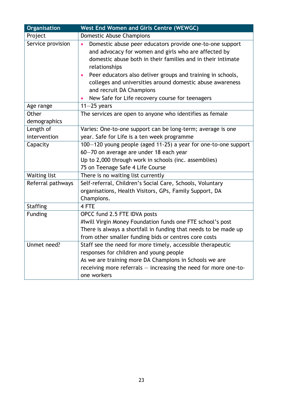| Organisation        | <b>West End Women and Girls Centre (WEWGC)</b>                                                                                                                                                                                                                                                                                                                                                                           |
|---------------------|--------------------------------------------------------------------------------------------------------------------------------------------------------------------------------------------------------------------------------------------------------------------------------------------------------------------------------------------------------------------------------------------------------------------------|
| Project             | Domestic Abuse Champions                                                                                                                                                                                                                                                                                                                                                                                                 |
| Service provision   | Domestic abuse peer educators provide one-to-one support<br>$\bullet$<br>and advocacy for women and girls who are affected by<br>domestic abuse both in their families and in their intimate<br>relationships<br>Peer educators also deliver groups and training in schools,<br>colleges and universities around domestic abuse awareness<br>and recruit DA Champions<br>New Safe for Life recovery course for teenagers |
| Age range           | $11-25$ years                                                                                                                                                                                                                                                                                                                                                                                                            |
| Other               | The services are open to anyone who identifies as female                                                                                                                                                                                                                                                                                                                                                                 |
| demographics        |                                                                                                                                                                                                                                                                                                                                                                                                                          |
| Length of           | Varies: One-to-one support can be long-term; average is one                                                                                                                                                                                                                                                                                                                                                              |
| intervention        | year. Safe for Life is a ten week programme                                                                                                                                                                                                                                                                                                                                                                              |
| Capacity            | 100-120 young people (aged 11-25) a year for one-to-one support                                                                                                                                                                                                                                                                                                                                                          |
|                     | 60-70 on average are under 18 each year                                                                                                                                                                                                                                                                                                                                                                                  |
|                     | Up to 2,000 through work in schools (inc. assemblies)                                                                                                                                                                                                                                                                                                                                                                    |
|                     | 75 on Teenage Safe 4 Life Course                                                                                                                                                                                                                                                                                                                                                                                         |
| <b>Waiting list</b> | There is no waiting list currently                                                                                                                                                                                                                                                                                                                                                                                       |
| Referral pathways   | Self-referral, Children's Social Care, Schools, Voluntary                                                                                                                                                                                                                                                                                                                                                                |
|                     | organisations, Health Visitors, GPs, Family Support, DA                                                                                                                                                                                                                                                                                                                                                                  |
|                     | Champions.                                                                                                                                                                                                                                                                                                                                                                                                               |
| <b>Staffing</b>     | 4 FTE                                                                                                                                                                                                                                                                                                                                                                                                                    |
| <b>Funding</b>      | OPCC fund 2.5 FTE IDVA posts                                                                                                                                                                                                                                                                                                                                                                                             |
|                     | #Iwill Virgin Money Foundation funds one FTE school's post                                                                                                                                                                                                                                                                                                                                                               |
|                     | There is always a shortfall in funding that needs to be made up                                                                                                                                                                                                                                                                                                                                                          |
|                     | from other smaller funding bids or centres core costs                                                                                                                                                                                                                                                                                                                                                                    |
| Unmet need?         | Staff see the need for more timely, accessible therapeutic                                                                                                                                                                                                                                                                                                                                                               |
|                     | responses for children and young people                                                                                                                                                                                                                                                                                                                                                                                  |
|                     | As we are training more DA Champions in Schools we are                                                                                                                                                                                                                                                                                                                                                                   |
|                     | receiving more referrals - increasing the need for more one-to-                                                                                                                                                                                                                                                                                                                                                          |
|                     | one workers                                                                                                                                                                                                                                                                                                                                                                                                              |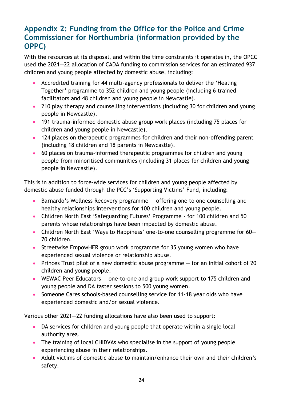### **Appendix 2: Funding from the Office for the Police and Crime Commissioner for Northumbria (information provided by the OPPC)**

With the resources at its disposal, and within the time constraints it operates in, the OPCC used the 2021—22 allocation of CADA funding to commission services for an estimated 937 children and young people affected by domestic abuse, including:

- Accredited training for 44 multi-agency professionals to deliver the 'Healing Together' programme to 352 children and young people (including 6 trained facilitators and 48 children and young people in Newcastle).
- 210 play therapy and counselling interventions (including 30 for children and young people in Newcastle).
- 191 trauma-informed domestic abuse group work places (including 75 places for children and young people in Newcastle).
- 124 places on therapeutic programmes for children and their non-offending parent (including 18 children and 18 parents in Newcastle).
- 60 places on trauma-informed therapeutic programmes for children and young people from minoritised communities (including 31 places for children and young people in Newcastle).

This is in addition to force-wide services for children and young people affected by domestic abuse funded through the PCC's 'Supporting Victims' Fund, including:

- Barnardo's Wellness Recovery programme offering one to one counselling and healthy relationships interventions for 100 children and young people.
- Children North East 'Safeguarding Futures' Programme for 100 children and 50 parents whose relationships have been impacted by domestic abuse.
- Children North East 'Ways to Happiness' one-to-one counselling programme for 60– 70 children.
- Streetwise EmpowHER group work programme for 35 young women who have experienced sexual violence or relationship abuse.
- Princes Trust pilot of a new domestic abuse programme  $-$  for an initial cohort of 20 children and young people.
- WEWAC Peer Educators one-to-one and group work support to 175 children and young people and DA taster sessions to 500 young women.
- Someone Cares schools-based counselling service for 11-18 year olds who have experienced domestic and/or sexual violence.

Various other 2021—22 funding allocations have also been used to support:

- DA services for children and young people that operate within a single local authority area.
- The training of local CHIDVAs who specialise in the support of young people experiencing abuse in their relationships.
- Adult victims of domestic abuse to maintain/enhance their own and their children's safety.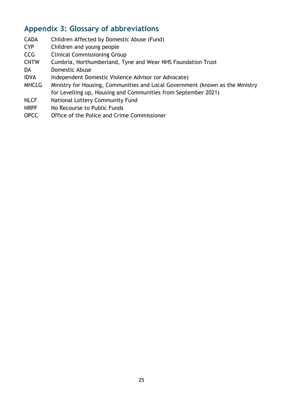### **Appendix 3: Glossary of abbreviations**

- CADA Children Affected by Domestic Abuse (Fund)
- CYP Children and young people
- CCG Clinical Commissioning Group
- CNTW Cumbria, Northumberland, Tyne and Wear NHS Foundation Trust
- DA Domestic Abuse
- IDVA Independent Domestic Violence Advisor (or Advocate)
- MHCLG Ministry for Housing, Communities and Local Government (known as the Ministry for Levelling up, Housing and Communities from September 2021)
- NLCF National Lottery Community Fund
- NRPF No Recourse to Public Funds
- OPCC Office of the Police and Crime Commissioner